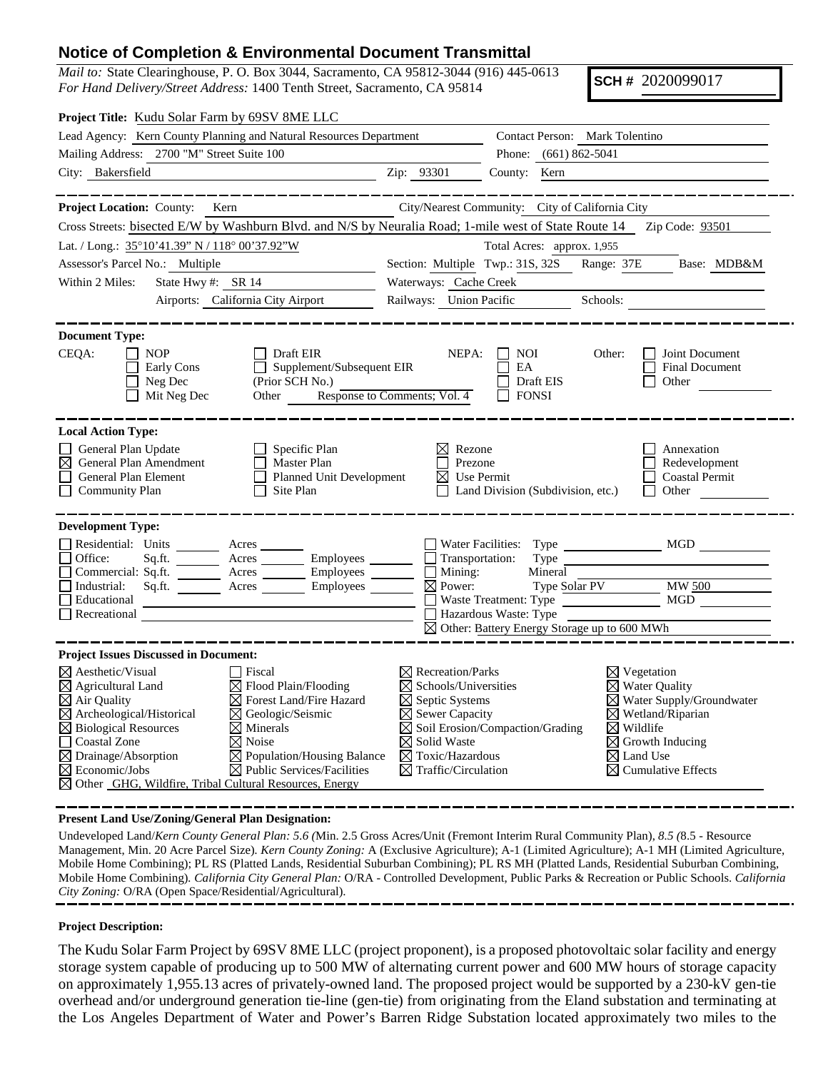## **Notice of Completion & Environmental Document Transmittal**

*Mail to:* State Clearinghouse, P. O. Box 3044, Sacramento, CA 95812-3044 (916) 445-0613 *For Hand Delivery/Street Address:* 1400 Tenth Street, Sacramento, CA 95814

**SCH #** 2020099017

| Project Title: Kudu Solar Farm by 69SV 8ME LLC                                                                         |                                                                                       |                                                                |                                                         |                                                                   |  |  |
|------------------------------------------------------------------------------------------------------------------------|---------------------------------------------------------------------------------------|----------------------------------------------------------------|---------------------------------------------------------|-------------------------------------------------------------------|--|--|
| Lead Agency: Kern County Planning and Natural Resources Department                                                     |                                                                                       |                                                                | Contact Person: Mark Tolentino                          |                                                                   |  |  |
| Mailing Address: 2700 "M" Street Suite 100                                                                             |                                                                                       | Phone: (661) 862-5041                                          |                                                         |                                                                   |  |  |
| City: Bakersfield                                                                                                      |                                                                                       | Zip: 93301                                                     | County: Kern                                            |                                                                   |  |  |
|                                                                                                                        |                                                                                       |                                                                |                                                         |                                                                   |  |  |
| Project Location: County: Kern                                                                                         |                                                                                       |                                                                | City/Nearest Community: City of California City         |                                                                   |  |  |
| Cross Streets: bisected E/W by Washburn Blvd. and N/S by Neuralia Road; 1-mile west of State Route 14  Zip Code: 93501 |                                                                                       |                                                                |                                                         |                                                                   |  |  |
| Lat. / Long.: 35°10'41.39" N / 118° 00'37.92"W                                                                         |                                                                                       |                                                                | Total Acres: approx. 1,955                              |                                                                   |  |  |
| Assessor's Parcel No.: Multiple                                                                                        |                                                                                       | Section: Multiple Twp.: 31S, 32S<br>Range: 37E<br>Base: MDB&M  |                                                         |                                                                   |  |  |
| State Hwy #: SR 14<br>Within 2 Miles:                                                                                  |                                                                                       | Waterways: Cache Creek                                         |                                                         |                                                                   |  |  |
|                                                                                                                        | Airports: California City Airport                                                     | Railways: Union Pacific                                        |                                                         |                                                                   |  |  |
|                                                                                                                        |                                                                                       |                                                                |                                                         | Schools:                                                          |  |  |
| <b>Document Type:</b>                                                                                                  |                                                                                       |                                                                |                                                         |                                                                   |  |  |
| CEQA:<br>$\Box$ NOP                                                                                                    | Draft EIR                                                                             | NEPA:                                                          | $\vert$ $\vert$ NOI                                     | Joint Document<br>Other:                                          |  |  |
| Early Cons                                                                                                             | Supplement/Subsequent EIR                                                             |                                                                | EA                                                      | <b>Final Document</b>                                             |  |  |
| $\Box$ Neg Dec                                                                                                         | (Prior SCH No.)                                                                       | No.)<br>Response to Comments; Vol. 4                           | Draft EIS                                               | Other                                                             |  |  |
| Mit Neg Dec                                                                                                            | Other                                                                                 |                                                                | $\Box$ FONSI                                            |                                                                   |  |  |
|                                                                                                                        |                                                                                       |                                                                |                                                         |                                                                   |  |  |
| <b>Local Action Type:</b>                                                                                              |                                                                                       |                                                                |                                                         |                                                                   |  |  |
| General Plan Update                                                                                                    | Specific Plan                                                                         | Rezone                                                         |                                                         | Annexation                                                        |  |  |
| $\boxtimes$ General Plan Amendment<br>П<br>General Plan Element                                                        | $\Box$ Master Plan<br>Planned Unit Development                                        | $\Box$ Prezone<br>$\boxtimes$ Use Permit                       |                                                         | Redevelopment<br><b>Coastal Permit</b>                            |  |  |
| <b>Community Plan</b>                                                                                                  | $\Box$ Site Plan                                                                      |                                                                | $\Box$ Land Division (Subdivision, etc.)                | $\Box$ Other                                                      |  |  |
|                                                                                                                        |                                                                                       |                                                                |                                                         |                                                                   |  |  |
| <b>Development Type:</b>                                                                                               |                                                                                       |                                                                |                                                         |                                                                   |  |  |
| Residential: Units ________ Acres _______                                                                              |                                                                                       |                                                                |                                                         |                                                                   |  |  |
| Office:                                                                                                                | $Sq.ft.$ $\overline{\qquad}$ Acres $\overline{\qquad}$ Employees $\overline{\qquad}$  | $\Box$ Transportation:                                         |                                                         | Type Type                                                         |  |  |
| Commercial: Sq.ft. <u>Acres</u> Acres Employees                                                                        |                                                                                       | $\Box$ Mining:                                                 | Mineral                                                 |                                                                   |  |  |
| $\Box$ Industrial:                                                                                                     | $Sq$ .ft. $\overline{\qquad}$ Acres $\overline{\qquad}$ Employees $\overline{\qquad}$ | $\boxtimes$ Power:                                             |                                                         | Type $\frac{\text{Solar PV}}{\text{N}}$ MW $\frac{500}{\text{N}}$ |  |  |
| Educational                                                                                                            | <u> 1989 - Johann Barn, mars an t-Amerikaansk kommunister (</u>                       |                                                                |                                                         | Waste Treatment: Type MGD                                         |  |  |
| $\Box$ Recreational $\Box$                                                                                             |                                                                                       |                                                                | Hazardous Waste: Type                                   |                                                                   |  |  |
|                                                                                                                        |                                                                                       |                                                                | $\boxtimes$ Other: Battery Energy Storage up to 600 MWh |                                                                   |  |  |
| <b>Project Issues Discussed in Document:</b>                                                                           |                                                                                       |                                                                |                                                         |                                                                   |  |  |
| $\boxtimes$ Aesthetic/Visual                                                                                           | Fiscal                                                                                | $\boxtimes$ Recreation/Parks                                   |                                                         | $\boxtimes$ Vegetation                                            |  |  |
| $\boxtimes$ Agricultural Land                                                                                          | $\boxtimes$ Flood Plain/Flooding                                                      | $\boxtimes$ Schools/Universities                               |                                                         | $\boxtimes$ Water Quality                                         |  |  |
| $\boxtimes$ Air Quality                                                                                                | $\boxtimes$ Forest Land/Fire Hazard                                                   | $\boxtimes$ Septic Systems                                     | $\boxtimes$ Water Supply/Groundwater                    |                                                                   |  |  |
| ⊠ Archeological/Historical                                                                                             | $\boxtimes$ Geologic/Seismic                                                          | $\boxtimes$ Sewer Capacity                                     |                                                         | $\boxtimes$ Wetland/Riparian                                      |  |  |
|                                                                                                                        | $\boxtimes$ Biological Resources<br>$\boxtimes$ Minerals                              |                                                                | $\boxtimes$ Soil Erosion/Compaction/Grading             | $\boxtimes$ Wildlife                                              |  |  |
| Coastal Zone                                                                                                           | $\boxtimes$ Noise                                                                     | $\boxtimes$ Solid Waste                                        |                                                         | $\boxtimes$ Growth Inducing                                       |  |  |
| $\boxtimes$ Population/Housing Balance<br>$\boxtimes$ Drainage/Absorption                                              |                                                                                       | $\boxtimes$ Toxic/Hazardous<br>$\boxtimes$ Traffic/Circulation |                                                         | $\boxtimes$ Land Use                                              |  |  |
| $\boxtimes$ Economic/Jobs<br>⊠ Other GHG, Wildfire, Tribal Cultural Resources, Energy                                  | $\boxtimes$ Public Services/Facilities                                                |                                                                |                                                         | $\boxtimes$ Cumulative Effects                                    |  |  |
|                                                                                                                        |                                                                                       |                                                                |                                                         |                                                                   |  |  |

**Present Land Use/Zoning/General Plan Designation:**

Undeveloped Land/*Kern County General Plan: 5.6 (*Min. 2.5 Gross Acres/Unit (Fremont Interim Rural Community Plan), *8.5 (*8.5 - Resource Management, Min. 20 Acre Parcel Size)*. Kern County Zoning:* A (Exclusive Agriculture); A-1 (Limited Agriculture); A-1 MH (Limited Agriculture, Mobile Home Combining); PL RS (Platted Lands, Residential Suburban Combining); PL RS MH (Platted Lands, Residential Suburban Combining, Mobile Home Combining)*. California City General Plan:* O/RA - Controlled Development, Public Parks & Recreation or Public Schools. *California City Zoning:* O/RA (Open Space/Residential/Agricultural).

## **Project Description:**

The Kudu Solar Farm Project by 69SV 8ME LLC (project proponent), is a proposed photovoltaic solar facility and energy storage system capable of producing up to 500 MW of alternating current power and 600 MW hours of storage capacity on approximately 1,955.13 acres of privately-owned land. The proposed project would be supported by a 230-kV gen-tie overhead and/or underground generation tie-line (gen-tie) from originating from the Eland substation and terminating at the Los Angeles Department of Water and Power's Barren Ridge Substation located approximately two miles to the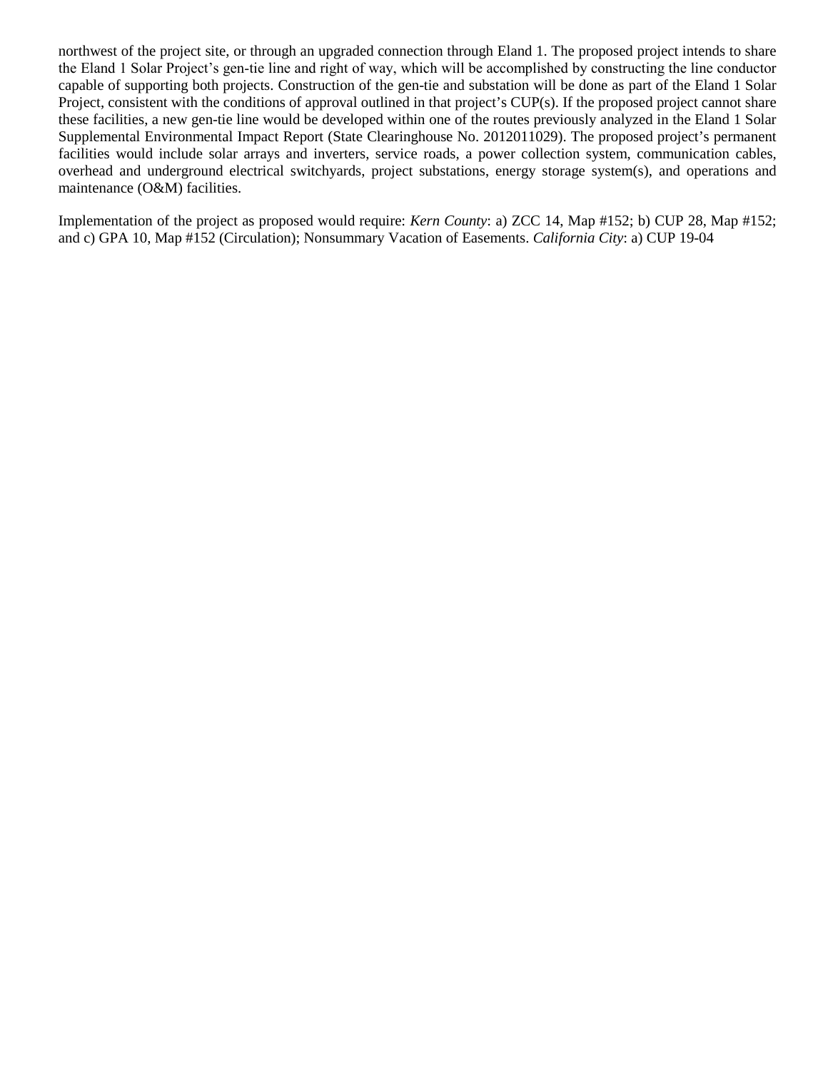northwest of the project site, or through an upgraded connection through Eland 1. The proposed project intends to share the Eland 1 Solar Project's gen‐tie line and right of way, which will be accomplished by constructing the line conductor capable of supporting both projects. Construction of the gen-tie and substation will be done as part of the Eland 1 Solar Project, consistent with the conditions of approval outlined in that project's CUP(s). If the proposed project cannot share these facilities, a new gen-tie line would be developed within one of the routes previously analyzed in the Eland 1 Solar Supplemental Environmental Impact Report (State Clearinghouse No. 2012011029). The proposed project's permanent facilities would include solar arrays and inverters, service roads, a power collection system, communication cables, overhead and underground electrical switchyards, project substations, energy storage system(s), and operations and maintenance (O&M) facilities.

Implementation of the project as proposed would require: *Kern County*: a) ZCC 14, Map #152; b) CUP 28, Map #152; and c) GPA 10, Map #152 (Circulation); Nonsummary Vacation of Easements. *California City*: a) CUP 19-04